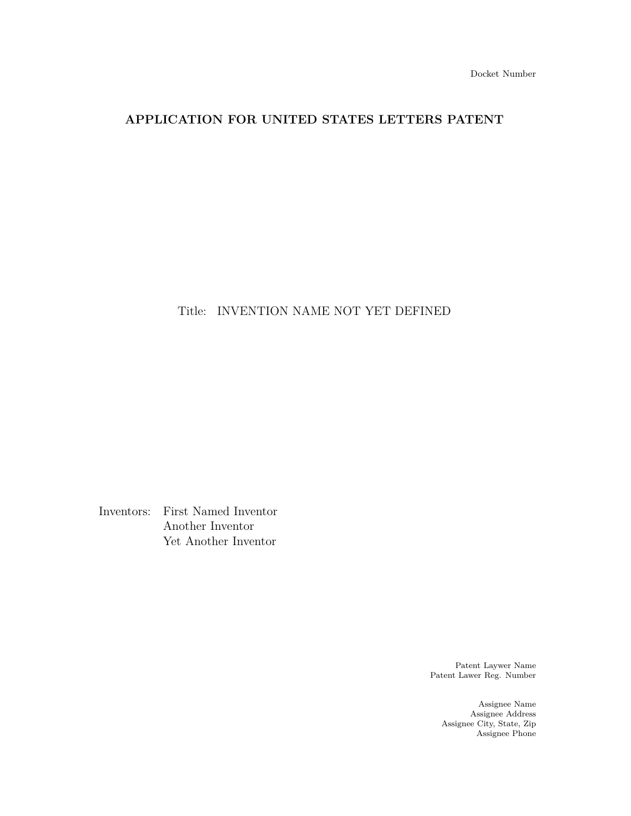# **APPLICATION FOR UNITED STATES LETTERS PATENT**

Title: INVENTION NAME NOT YET DEFINED

Inventors: First Named Inventor Another Inventor Yet Another Inventor

> Patent Laywer Name Patent Lawer Reg. Number

> > Assignee Name Assignee Address Assignee City, State, Zip Assignee Phone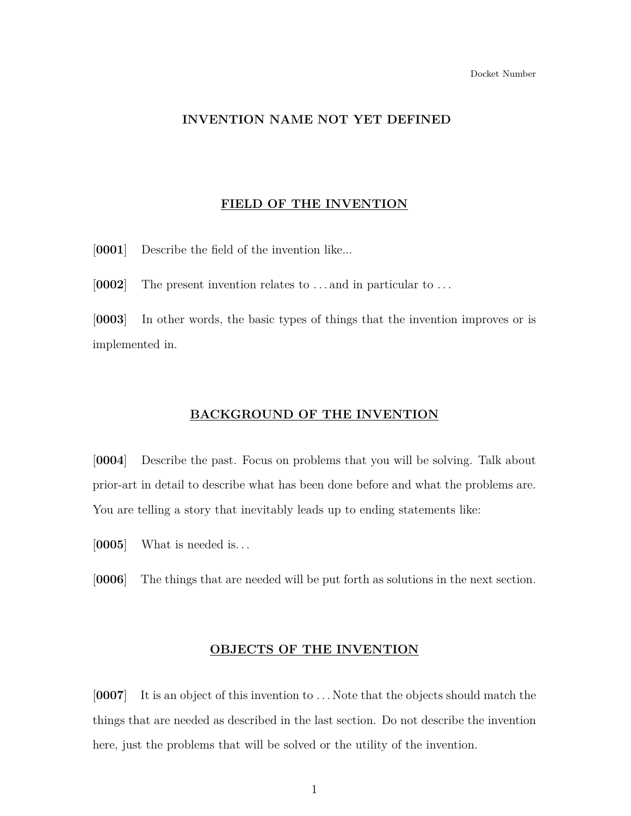## **INVENTION NAME NOT YET DEFINED**

#### **FIELD OF THE INVENTION**

[**0001**] Describe the field of the invention like...

[**0002**] The present invention relates to . . . and in particular to . . .

[**0003**] In other words, the basic types of things that the invention improves or is implemented in.

### **BACKGROUND OF THE INVENTION**

[**0004**] Describe the past. Focus on problems that you will be solving. Talk about prior-art in detail to describe what has been done before and what the problems are. You are telling a story that inevitably leads up to ending statements like:

[**0005**] What is needed is. . .

[**0006**] The things that are needed will be put forth as solutions in the next section.

#### **OBJECTS OF THE INVENTION**

[**0007**] It is an object of this invention to . . . Note that the objects should match the things that are needed as described in the last section. Do not describe the invention here, just the problems that will be solved or the utility of the invention.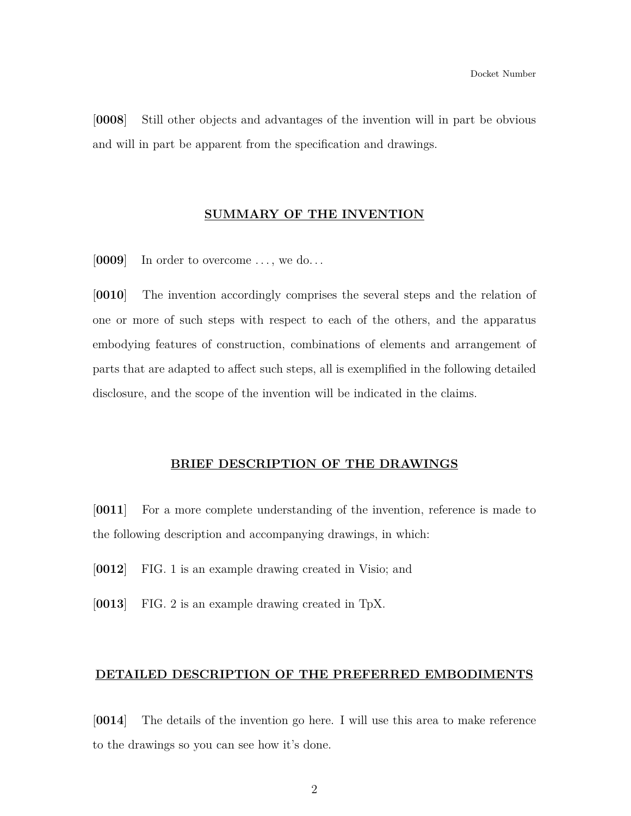[**0008**] Still other objects and advantages of the invention will in part be obvious and will in part be apparent from the specification and drawings.

#### **SUMMARY OF THE INVENTION**

[0009] In order to overcome ..., we do...

[**0010**] The invention accordingly comprises the several steps and the relation of one or more of such steps with respect to each of the others, and the apparatus embodying features of construction, combinations of elements and arrangement of parts that are adapted to affect such steps, all is exemplified in the following detailed disclosure, and the scope of the invention will be indicated in the claims.

#### **BRIEF DESCRIPTION OF THE DRAWINGS**

[**0011**] For a more complete understanding of the invention, reference is made to the following description and accompanying drawings, in which:

- [**0012**] FIG. 1 is an example drawing created in Visio; and
- [**0013**] FIG. 2 is an example drawing created in TpX.

#### **DETAILED DESCRIPTION OF THE PREFERRED EMBODIMENTS**

[**0014**] The details of the invention go here. I will use this area to make reference to the drawings so you can see how it's done.

2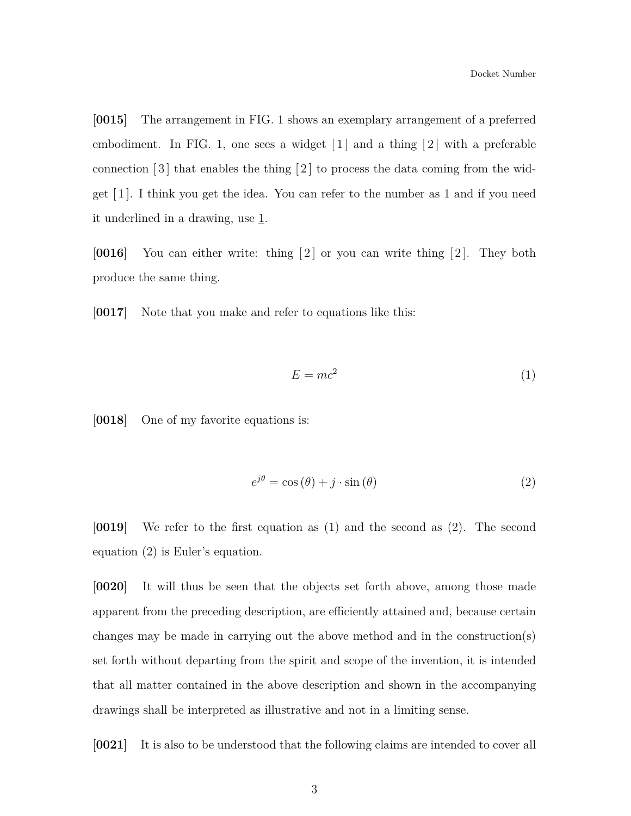[**0015**] The arrangement in FIG. 1 shows an exemplary arrangement of a preferred embodiment. In FIG. 1, one sees a widget  $\lceil 1 \rceil$  and a thing  $\lceil 2 \rceil$  with a preferable connection  $\lceil 3 \rceil$  that enables the thing  $\lceil 2 \rceil$  to process the data coming from the widget [ 1 ]. I think you get the idea. You can refer to the number as 1 and if you need it underlined in a drawing, use  $1$ .

[**0016**] You can either write: thing [2] or you can write thing [2]. They both produce the same thing.

<span id="page-4-0"></span>[**0017**] Note that you make and refer to equations like this:

$$
E = mc^2 \tag{1}
$$

<span id="page-4-1"></span>[**0018**] One of my favorite equations is:

$$
e^{j\theta} = \cos(\theta) + j \cdot \sin(\theta) \tag{2}
$$

[**0019**] We refer to the first equation as [\(1\)](#page-4-0) and the second as [\(2\)](#page-4-1). The second equation [\(2\)](#page-4-1) is Euler's equation.

[**0020**] It will thus be seen that the objects set forth above, among those made apparent from the preceding description, are efficiently attained and, because certain changes may be made in carrying out the above method and in the construction(s) set forth without departing from the spirit and scope of the invention, it is intended that all matter contained in the above description and shown in the accompanying drawings shall be interpreted as illustrative and not in a limiting sense.

[**0021**] It is also to be understood that the following claims are intended to cover all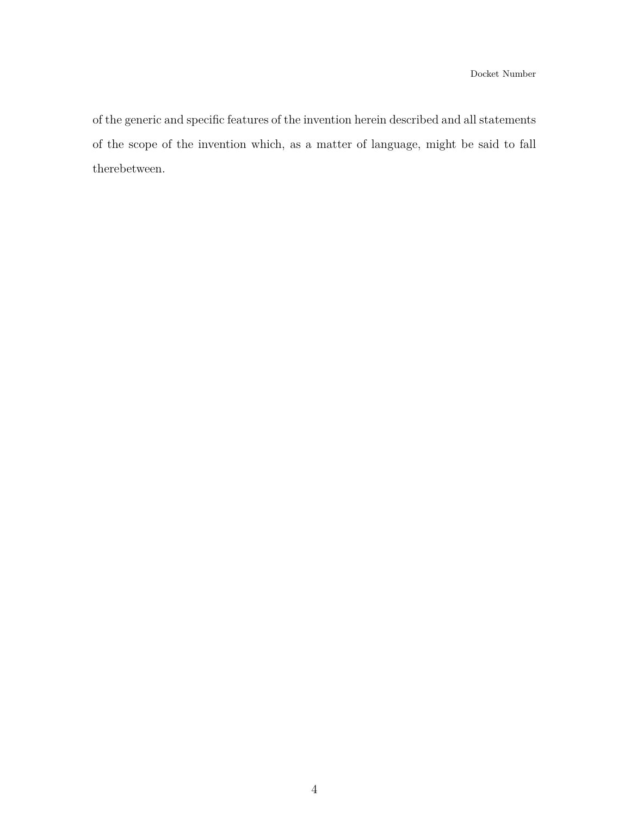of the generic and specific features of the invention herein described and all statements of the scope of the invention which, as a matter of language, might be said to fall therebetween.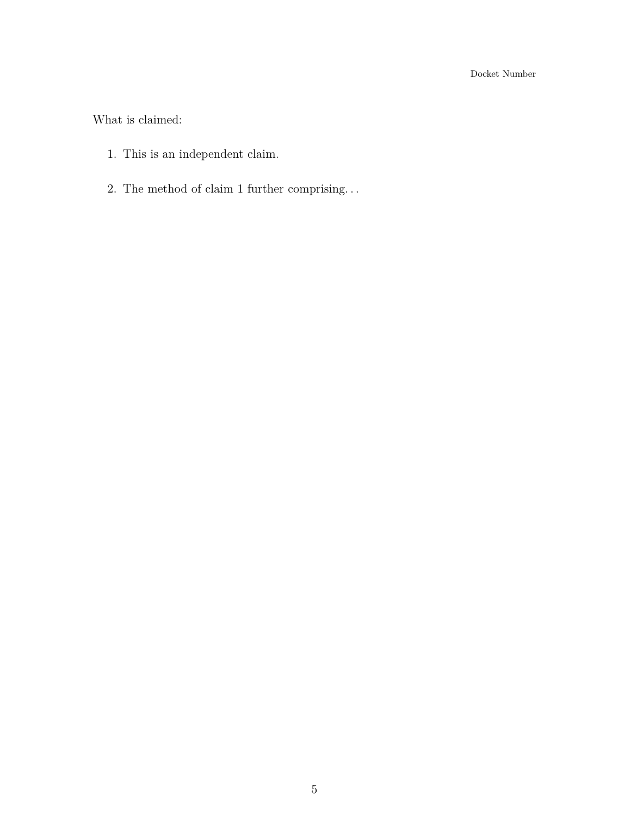Docket Number

<span id="page-6-0"></span>What is claimed:

- 1. This is an independent claim.
- 2. The method of claim [1](#page-6-0) further comprising. . .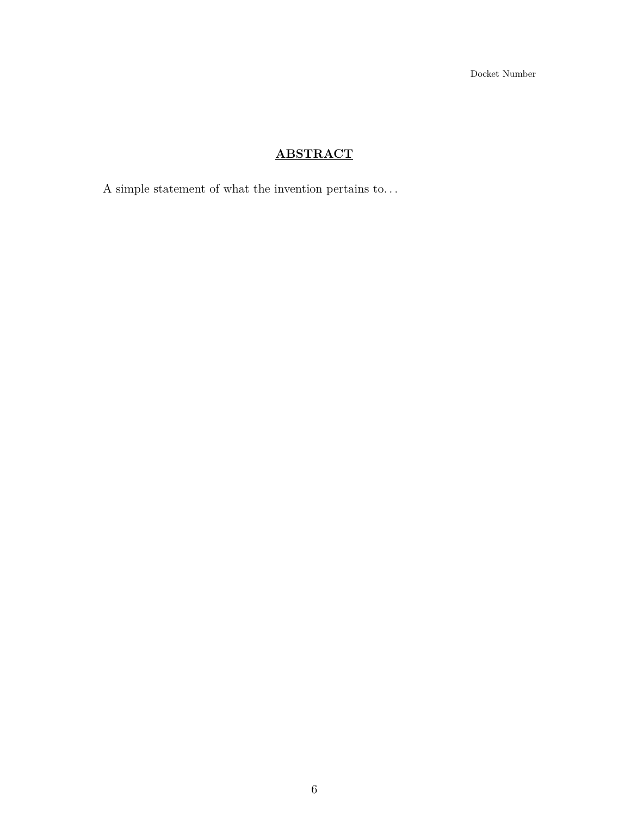Docket Number

# **ABSTRACT**

A simple statement of what the invention pertains to.  $\ldots$